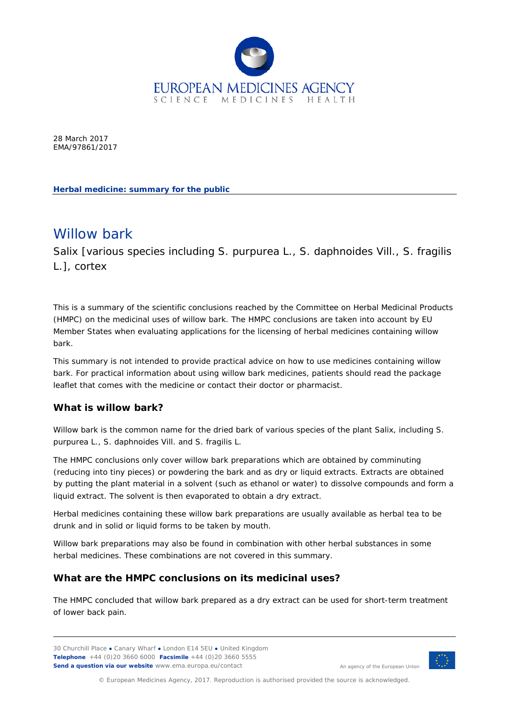

28 March 2017 EMA/97861/2017

**Herbal medicine: summary for the public**

# Willow bark

Salix [various species including *S. purpurea* L., *S. daphnoides* Vill., *S. fragilis*  L.], cortex

This is a summary of the scientific conclusions reached by the Committee on Herbal Medicinal Products (HMPC) on the medicinal uses of willow bark. The HMPC conclusions are taken into account by EU Member States when evaluating applications for the licensing of herbal medicines containing willow bark.

This summary is not intended to provide practical advice on how to use medicines containing willow bark. For practical information about using willow bark medicines, patients should read the package leaflet that comes with the medicine or contact their doctor or pharmacist.

### **What is willow bark?**

Willow bark is the common name for the dried bark of various species of the plant Salix, including *S. purpurea* L., *S. daphnoides* Vill. and *S. fragilis* L.

The HMPC conclusions only cover willow bark preparations which are obtained by comminuting (reducing into tiny pieces) or powdering the bark and as dry or liquid extracts. Extracts are obtained by putting the plant material in a solvent (such as ethanol or water) to dissolve compounds and form a liquid extract. The solvent is then evaporated to obtain a dry extract.

Herbal medicines containing these willow bark preparations are usually available as herbal tea to be drunk and in solid or liquid forms to be taken by mouth.

Willow bark preparations may also be found in combination with other herbal substances in some herbal medicines. These combinations are not covered in this summary.

### **What are the HMPC conclusions on its medicinal uses?**

The HMPC concluded that willow bark prepared as a dry extract can be used for short-term treatment of lower back pain.

30 Churchill Place **●** Canary Wharf **●** London E14 5EU **●** United Kingdom **Telephone** +44 (0)20 3660 6000 **Facsimile** +44 (0)20 3660 5555 **Send a question via our website** www.ema.europa.eu/contact



An agency of the European Union

© European Medicines Agency, 2017. Reproduction is authorised provided the source is acknowledged.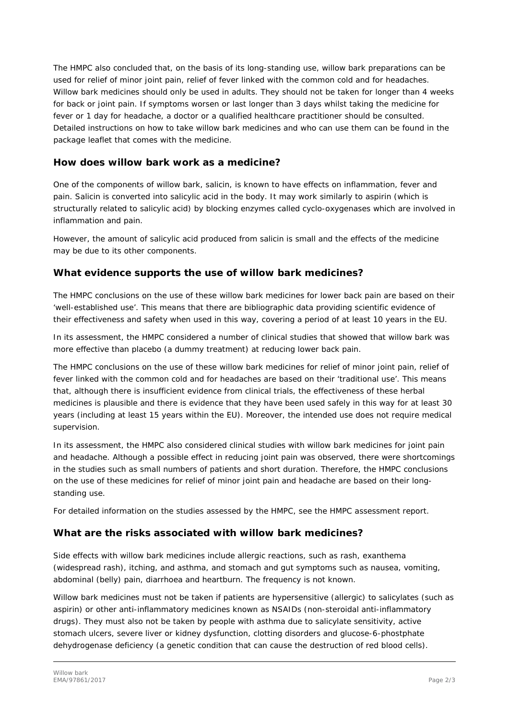The HMPC also concluded that, on the basis of its long-standing use, willow bark preparations can be used for relief of minor joint pain, relief of fever linked with the common cold and for headaches. Willow bark medicines should only be used in adults. They should not be taken for longer than 4 weeks for back or joint pain. If symptoms worsen or last longer than 3 days whilst taking the medicine for fever or 1 day for headache, a doctor or a qualified healthcare practitioner should be consulted. Detailed instructions on how to take willow bark medicines and who can use them can be found in the package leaflet that comes with the medicine.

#### **How does willow bark work as a medicine?**

One of the components of willow bark, salicin, is known to have effects on inflammation, fever and pain. Salicin is converted into salicylic acid in the body. It may work similarly to aspirin (which is structurally related to salicylic acid) by blocking enzymes called cyclo-oxygenases which are involved in inflammation and pain.

However, the amount of salicylic acid produced from salicin is small and the effects of the medicine may be due to its other components.

### **What evidence supports the use of willow bark medicines?**

The HMPC conclusions on the use of these willow bark medicines for lower back pain are based on their 'well-established use'. This means that there are bibliographic data providing scientific evidence of their effectiveness and safety when used in this way, covering a period of at least 10 years in the EU.

In its assessment, the HMPC considered a number of clinical studies that showed that willow bark was more effective than placebo (a dummy treatment) at reducing lower back pain.

The HMPC conclusions on the use of these willow bark medicines for relief of minor joint pain, relief of fever linked with the common cold and for headaches are based on their 'traditional use'. This means that, although there is insufficient evidence from clinical trials, the effectiveness of these herbal medicines is plausible and there is evidence that they have been used safely in this way for at least 30 years (including at least 15 years within the EU). Moreover, the intended use does not require medical supervision.

In its assessment, the HMPC also considered clinical studies with willow bark medicines for joint pain and headache. Although a possible effect in reducing joint pain was observed, there were shortcomings in the studies such as small numbers of patients and short duration. Therefore, the HMPC conclusions on the use of these medicines for relief of minor joint pain and headache are based on their longstanding use.

For detailed information on the studies assessed by the HMPC, see the HMPC assessment report.

### **What are the risks associated with willow bark medicines?**

Side effects with willow bark medicines include allergic reactions, such as rash, exanthema (widespread rash), itching, and asthma, and stomach and gut symptoms such as nausea, vomiting, abdominal (belly) pain, diarrhoea and heartburn. The frequency is not known.

Willow bark medicines must not be taken if patients are hypersensitive (allergic) to salicylates (such as aspirin) or other anti-inflammatory medicines known as NSAIDs (non-steroidal anti-inflammatory drugs). They must also not be taken by people with asthma due to salicylate sensitivity, active stomach ulcers, severe liver or kidney dysfunction, clotting disorders and glucose-6-phostphate dehydrogenase deficiency (a genetic condition that can cause the destruction of red blood cells).